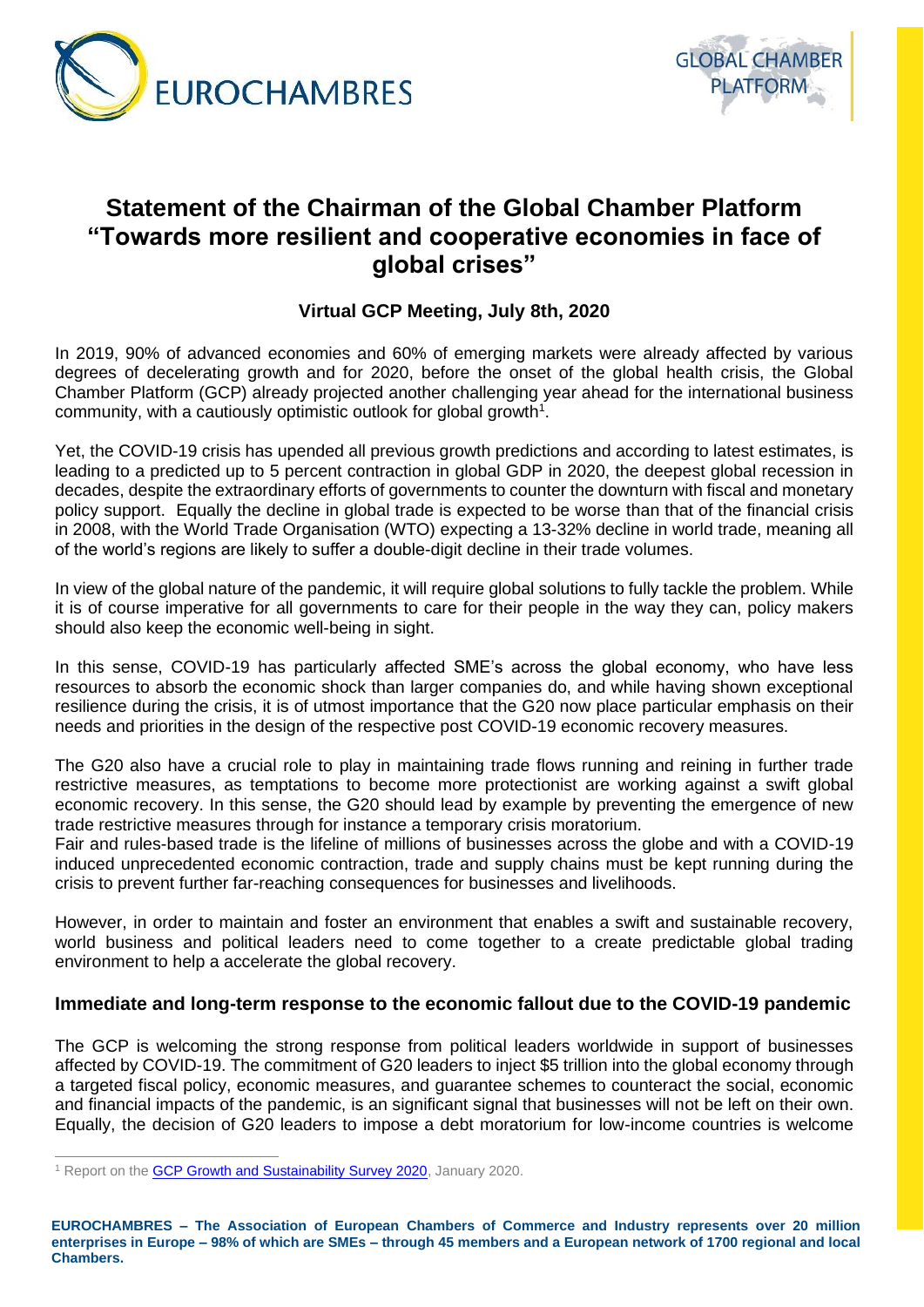



## **Statement of the Chairman of the Global Chamber Platform "Towards more resilient and cooperative economies in face of global crises"**

## **Virtual GCP Meeting, July 8th, 2020**

In 2019, 90% of advanced economies and 60% of emerging markets were already affected by various degrees of decelerating growth and for 2020, before the onset of the global health crisis, the Global Chamber Platform (GCP) already projected another challenging year ahead for the international business community, with a cautiously optimistic outlook for global growth<sup>1</sup>.

Yet, the COVID-19 crisis has upended all previous growth predictions and according to latest estimates, is leading to a predicted up to 5 percent contraction in global GDP in 2020, the deepest global recession in decades, despite the extraordinary efforts of governments to counter the downturn with fiscal and monetary policy support. Equally the decline in global trade is expected to be worse than that of the financial crisis in 2008, with the World Trade Organisation (WTO) expecting a 13-32% decline in world trade, meaning all of the world's regions are likely to suffer a double-digit decline in their trade volumes.

In view of the global nature of the pandemic, it will require global solutions to fully tackle the problem. While it is of course imperative for all governments to care for their people in the way they can, policy makers should also keep the economic well-being in sight.

In this sense, COVID-19 has particularly affected SME's across the global economy, who have less resources to absorb the economic shock than larger companies do, and while having shown exceptional resilience during the crisis, it is of utmost importance that the G20 now place particular emphasis on their needs and priorities in the design of the respective post COVID-19 economic recovery measures.

The G20 also have a crucial role to play in maintaining trade flows running and reining in further trade restrictive measures, as temptations to become more protectionist are working against a swift global economic recovery. In this sense, the G20 should lead by example by preventing the emergence of new trade restrictive measures through for instance a temporary crisis moratorium.

Fair and rules-based trade is the lifeline of millions of businesses across the globe and with a COVID-19 induced unprecedented economic contraction, trade and supply chains must be kept running during the crisis to prevent further far-reaching consequences for businesses and livelihoods.

However, in order to maintain and foster an environment that enables a swift and sustainable recovery, world business and political leaders need to come together to a create predictable global trading environment to help a accelerate the global recovery.

## **Immediate and long-term response to the economic fallout due to the COVID-19 pandemic**

The GCP is welcoming the strong response from political leaders worldwide in support of businesses affected by COVID-19. The commitment of G20 leaders to inject \$5 trillion into the global economy through a targeted fiscal policy, economic measures, and guarantee schemes to counteract the social, economic and financial impacts of the pandemic, is an significant signal that businesses will not be left on their own. Equally, the decision of G20 leaders to impose a debt moratorium for low-income countries is welcome

**EUROCHAMBRES – The Association of European Chambers of Commerce and Industry represents over 20 million enterprises in Europe – 98% of which are SMEs – through 45 members and a European network of 1700 regional and local Chambers.**

<sup>&</sup>lt;sup>1</sup> Report on the **GCP Growth and Sustainability Survey 2020**, January 2020.